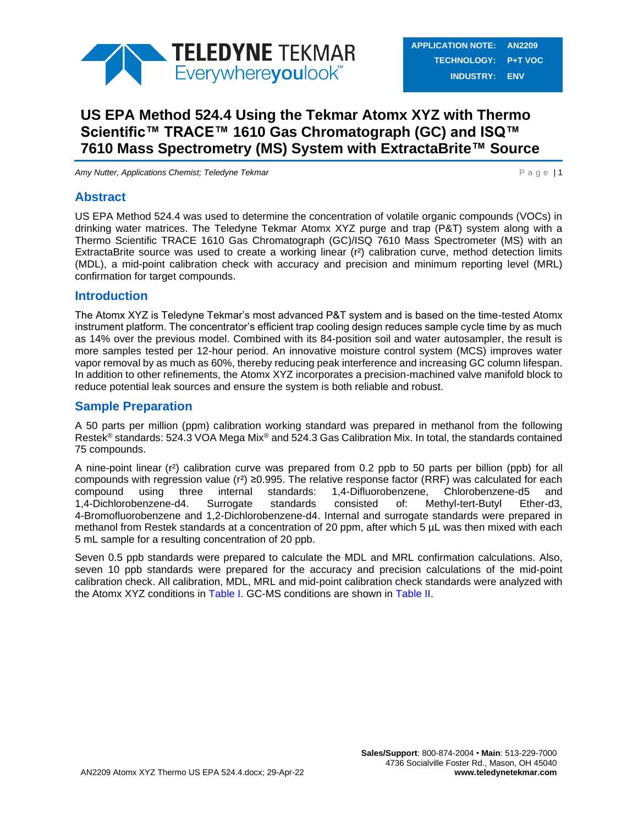

# **US EPA Method 524.4 Using the Tekmar Atomx XYZ with Thermo Scientific™ TRACE™ 1610 Gas Chromatograph (GC) and ISQ™ 7610 Mass Spectrometry (MS) System with ExtractaBrite™ Source**

*Amy Nutter, Applications Chemist; Teledyne Tekmar* **P a G and Text and Text and Text and P a G e | 1** 

## **Abstract**

US EPA Method 524.4 was used to determine the concentration of volatile organic compounds (VOCs) in drinking water matrices. The Teledyne Tekmar Atomx XYZ purge and trap (P&T) system along with a Thermo Scientific TRACE 1610 Gas Chromatograph (GC)/ISQ 7610 Mass Spectrometer (MS) with an ExtractaBrite source was used to create a working linear (r²) calibration curve, method detection limits (MDL), a mid-point calibration check with accuracy and precision and minimum reporting level (MRL) confirmation for target compounds.

## **Introduction**

The Atomx XYZ is Teledyne Tekmar's most advanced P&T system and is based on the time-tested Atomx instrument platform. The concentrator's efficient trap cooling design reduces sample cycle time by as much as 14% over the previous model. Combined with its 84-position soil and water autosampler, the result is more samples tested per 12-hour period. An innovative moisture control system (MCS) improves water vapor removal by as much as 60%, thereby reducing peak interference and increasing GC column lifespan. In addition to other refinements, the Atomx XYZ incorporates a precision-machined valve manifold block to reduce potential leak sources and ensure the system is both reliable and robust.

## **Sample Preparation**

A 50 parts per million (ppm) calibration working standard was prepared in methanol from the following Restek® standards: 524.3 VOA Mega Mix® and 524.3 Gas Calibration Mix. In total, the standards contained 75 compounds.

A nine-point linear (r²) calibration curve was prepared from 0.2 ppb to 50 parts per billion (ppb) for all compounds with regression value (r²) ≥0.995. The relative response factor (RRF) was calculated for each compound using three internal standards: 1,4-Difluorobenzene, Chlorobenzene-d5 and 1,4-Dichlorobenzene-d4. Surrogate standards consisted of: Methyl-tert-Butyl Ether-d3, 4-Bromofluorobenzene and 1,2-Dichlorobenzene-d4. Internal and surrogate standards were prepared in methanol from Restek standards at a concentration of 20 ppm, after which 5  $\mu$ L was then mixed with each 5 mL sample for a resulting concentration of 20 ppb.

Seven 0.5 ppb standards were prepared to calculate the MDL and MRL confirmation calculations. Also, seven 10 ppb standards were prepared for the accuracy and precision calculations of the mid-point calibration check. All calibration, MDL, MRL and mid-point calibration check standards were analyzed with the Atomx XYZ conditions in [Table I.](#page-1-0) GC-MS conditions are shown in [Table II.](#page-2-0)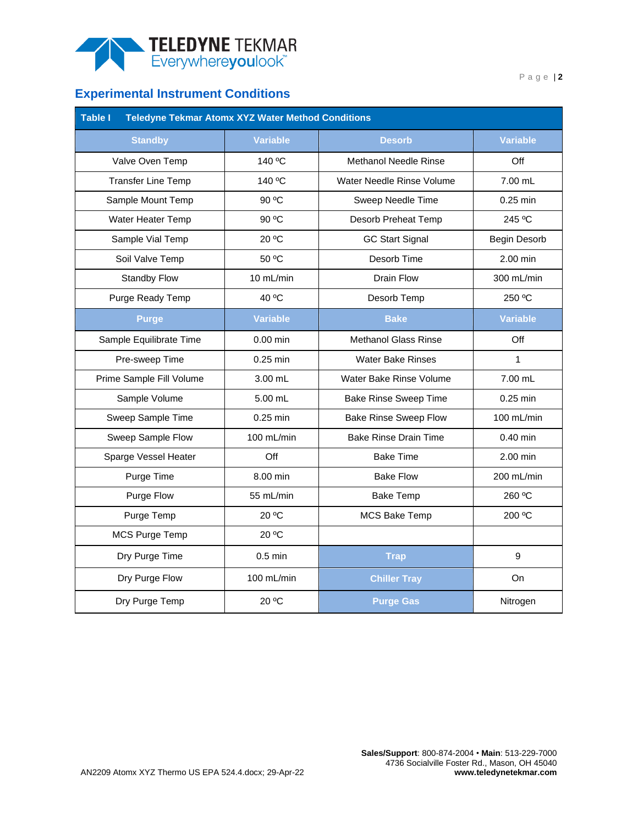

## **Experimental Instrument Conditions**

<span id="page-1-0"></span>

| <b>Table I</b><br><b>Teledyne Tekmar Atomx XYZ Water Method Conditions</b> |                 |                              |                 |  |  |  |  |  |  |
|----------------------------------------------------------------------------|-----------------|------------------------------|-----------------|--|--|--|--|--|--|
| <b>Standby</b>                                                             | <b>Variable</b> | <b>Desorb</b>                | <b>Variable</b> |  |  |  |  |  |  |
| Valve Oven Temp                                                            | 140 °C          | <b>Methanol Needle Rinse</b> | Off             |  |  |  |  |  |  |
| <b>Transfer Line Temp</b>                                                  | 140 °C          | Water Needle Rinse Volume    | 7.00 mL         |  |  |  |  |  |  |
| Sample Mount Temp                                                          | 90 °C           | Sweep Needle Time            | 0.25 min        |  |  |  |  |  |  |
| Water Heater Temp                                                          | 90 °C           | Desorb Preheat Temp          | 245 °C          |  |  |  |  |  |  |
| Sample Vial Temp                                                           | 20 °C           | <b>GC Start Signal</b>       | Begin Desorb    |  |  |  |  |  |  |
| Soil Valve Temp                                                            | 50 °C           | Desorb Time                  | $2.00$ min      |  |  |  |  |  |  |
| <b>Standby Flow</b>                                                        | 10 mL/min       | Drain Flow                   | 300 mL/min      |  |  |  |  |  |  |
| Purge Ready Temp                                                           | 40 °C           | Desorb Temp                  | 250 °C          |  |  |  |  |  |  |
| <b>Purge</b>                                                               | <b>Variable</b> | <b>Bake</b>                  | <b>Variable</b> |  |  |  |  |  |  |
| Sample Equilibrate Time                                                    | $0.00$ min      | <b>Methanol Glass Rinse</b>  | Off             |  |  |  |  |  |  |
| Pre-sweep Time                                                             | $0.25$ min      | <b>Water Bake Rinses</b>     | 1               |  |  |  |  |  |  |
| Prime Sample Fill Volume                                                   | 3.00 mL         | Water Bake Rinse Volume      | 7.00 mL         |  |  |  |  |  |  |
| Sample Volume                                                              | 5.00 mL         | <b>Bake Rinse Sweep Time</b> | $0.25$ min      |  |  |  |  |  |  |
| Sweep Sample Time                                                          | $0.25$ min      | <b>Bake Rinse Sweep Flow</b> | 100 mL/min      |  |  |  |  |  |  |
| Sweep Sample Flow                                                          | 100 mL/min      | <b>Bake Rinse Drain Time</b> | $0.40$ min      |  |  |  |  |  |  |
| Sparge Vessel Heater                                                       | Off             | <b>Bake Time</b>             | 2.00 min        |  |  |  |  |  |  |
| Purge Time                                                                 | 8.00 min        | <b>Bake Flow</b>             | 200 mL/min      |  |  |  |  |  |  |
| Purge Flow                                                                 | 55 mL/min       | <b>Bake Temp</b>             | 260 °C          |  |  |  |  |  |  |
| Purge Temp                                                                 | 20 °C           | <b>MCS Bake Temp</b>         | 200 °C          |  |  |  |  |  |  |
| MCS Purge Temp                                                             | 20 °C           |                              |                 |  |  |  |  |  |  |
| Dry Purge Time                                                             | $0.5$ min       | <b>Trap</b>                  | 9               |  |  |  |  |  |  |
| Dry Purge Flow                                                             | 100 mL/min      | <b>Chiller Tray</b>          | On              |  |  |  |  |  |  |
| Dry Purge Temp                                                             | 20 °C           | <b>Purge Gas</b>             | Nitrogen        |  |  |  |  |  |  |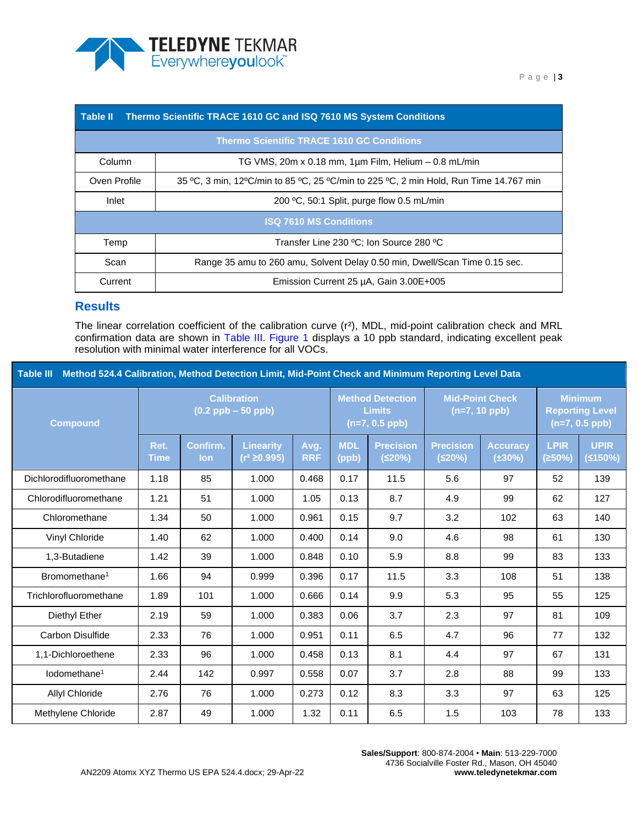

<span id="page-2-0"></span>

| <b>Table II</b>                                    | Thermo Scientific TRACE 1610 GC and ISQ 7610 MS System Conditions                     |  |  |  |  |  |
|----------------------------------------------------|---------------------------------------------------------------------------------------|--|--|--|--|--|
|                                                    | <b>Thermo Scientific TRACE 1610 GC Conditions</b>                                     |  |  |  |  |  |
| Column                                             | TG VMS, 20m x 0.18 mm, 1um Film, Helium - 0.8 mL/min                                  |  |  |  |  |  |
| Oven Profile                                       | 35 °C, 3 min, 12°C/min to 85 °C, 25 °C/min to 225 °C, 2 min Hold, Run Time 14.767 min |  |  |  |  |  |
| 200 °C, 50:1 Split, purge flow 0.5 mL/min<br>Inlet |                                                                                       |  |  |  |  |  |
|                                                    | <b>ISQ 7610 MS Conditions</b>                                                         |  |  |  |  |  |
| Temp                                               | Transfer Line 230 °C; Ion Source 280 °C                                               |  |  |  |  |  |
| Scan                                               | Range 35 amu to 260 amu, Solvent Delay 0.50 min, Dwell/Scan Time 0.15 sec.            |  |  |  |  |  |
| Current                                            | Emission Current 25 µA, Gain 3.00E+005                                                |  |  |  |  |  |

### **Results**

The linear correlation coefficient of the calibration curve (r²), MDL, mid-point calibration check and MRL confirmation data are shown in [Table III.](#page-2-1) [Figure 1](#page-6-0) displays a 10 ppb standard, indicating excellent peak resolution with minimal water interference for all VOCs.

<span id="page-2-1"></span>

| Method 524.4 Calibration, Method Detection Limit, Mid-Point Check and Minimum Reporting Level Data<br><b>Table III</b> |                                             |                 |                                       |                    |                                                              |                            |                                           |                           |                                                              |                        |
|------------------------------------------------------------------------------------------------------------------------|---------------------------------------------|-----------------|---------------------------------------|--------------------|--------------------------------------------------------------|----------------------------|-------------------------------------------|---------------------------|--------------------------------------------------------------|------------------------|
| <b>Compound</b>                                                                                                        | <b>Calibration</b><br>$(0.2$ ppb $-50$ ppb) |                 |                                       |                    | <b>Method Detection</b><br><b>Limits</b><br>$(n=7, 0.5$ ppb) |                            | <b>Mid-Point Check</b><br>$(n=7, 10$ ppb) |                           | <b>Minimum</b><br><b>Reporting Level</b><br>$(n=7, 0.5$ ppb) |                        |
|                                                                                                                        | Ret.<br><b>Time</b>                         | Confirm.<br>lon | <b>Linearity</b><br>$(r^2 \ge 0.995)$ | Avg.<br><b>RRF</b> | <b>MDL</b><br>(ppb)                                          | <b>Precision</b><br>(520%) | <b>Precision</b><br>(≤20%)                | <b>Accuracy</b><br>(±30%) | <b>LPIR</b><br>(≥50%)                                        | <b>UPIR</b><br>(≤150%) |
| Dichlorodifluoromethane                                                                                                | 1.18                                        | 85              | 1.000                                 | 0.468              | 0.17                                                         | 11.5                       | 5.6                                       | 97                        | 52                                                           | 139                    |
| Chlorodifluoromethane                                                                                                  | 1.21                                        | 51              | 1.000                                 | 1.05               | 0.13                                                         | 8.7                        | 4.9                                       | 99                        | 62                                                           | 127                    |
| Chloromethane                                                                                                          | 1.34                                        | 50              | 1.000                                 | 0.961              | 0.15                                                         | 9.7                        | 3.2                                       | 102                       | 63                                                           | 140                    |
| Vinyl Chloride                                                                                                         | 1.40                                        | 62              | 1.000                                 | 0.400              | 0.14                                                         | 9.0                        | 4.6                                       | 98                        | 61                                                           | 130                    |
| 1,3-Butadiene                                                                                                          | 1.42                                        | 39              | 1.000                                 | 0.848              | 0.10                                                         | 5.9                        | 8.8                                       | 99                        | 83                                                           | 133                    |
| Bromomethane <sup>1</sup>                                                                                              | 1.66                                        | 94              | 0.999                                 | 0.396              | 0.17                                                         | 11.5                       | 3.3                                       | 108                       | 51                                                           | 138                    |
| Trichlorofluoromethane                                                                                                 | 1.89                                        | 101             | 1.000                                 | 0.666              | 0.14                                                         | 9.9                        | 5.3                                       | 95                        | 55                                                           | 125                    |
| Diethyl Ether                                                                                                          | 2.19                                        | 59              | 1.000                                 | 0.383              | 0.06                                                         | 3.7                        | 2.3                                       | 97                        | 81                                                           | 109                    |
| Carbon Disulfide                                                                                                       | 2.33                                        | 76              | 1.000                                 | 0.951              | 0.11                                                         | 6.5                        | 4.7                                       | 96                        | 77                                                           | 132                    |
| 1,1-Dichloroethene                                                                                                     | 2.33                                        | 96              | 1.000                                 | 0.458              | 0.13                                                         | 8.1                        | 4.4                                       | 97                        | 67                                                           | 131                    |
| lodomethane <sup>1</sup>                                                                                               | 2.44                                        | 142             | 0.997                                 | 0.558              | 0.07                                                         | 3.7                        | 2.8                                       | 88                        | 99                                                           | 133                    |
| Allyl Chloride                                                                                                         | 2.76                                        | 76              | 1.000                                 | 0.273              | 0.12                                                         | 8.3                        | 3.3                                       | 97                        | 63                                                           | 125                    |
| Methylene Chloride                                                                                                     | 2.87                                        | 49              | 1.000                                 | 1.32               | 0.11                                                         | 6.5                        | 1.5                                       | 103                       | 78                                                           | 133                    |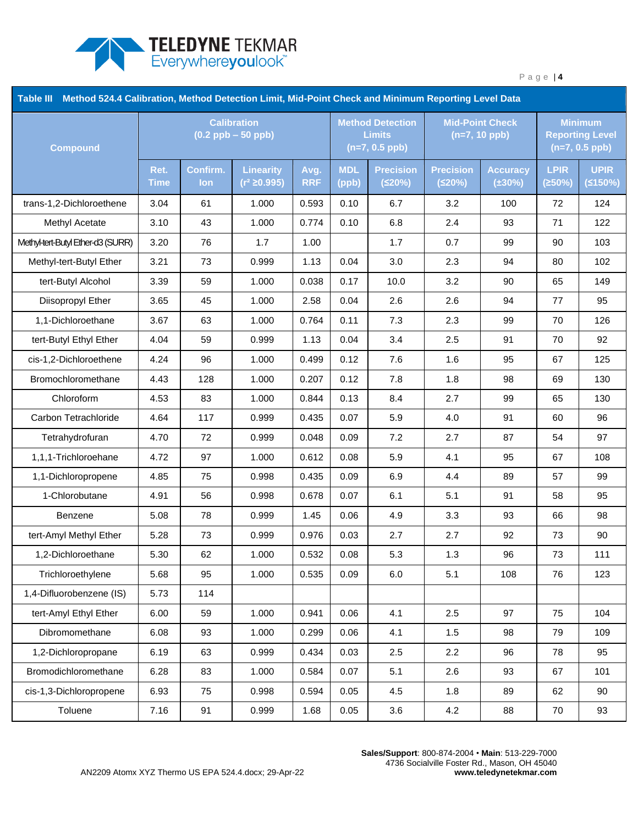

| Table III<br>Method 524.4 Calibration, Method Detection Limit, Mid-Point Check and Minimum Reporting Level Data |                                             |                 |                                     |                    |                                                              |                            |                                           |                                 |                                                              |                        |
|-----------------------------------------------------------------------------------------------------------------|---------------------------------------------|-----------------|-------------------------------------|--------------------|--------------------------------------------------------------|----------------------------|-------------------------------------------|---------------------------------|--------------------------------------------------------------|------------------------|
| <b>Compound</b>                                                                                                 | <b>Calibration</b><br>$(0.2$ ppb $-50$ ppb) |                 |                                     |                    | <b>Method Detection</b><br><b>Limits</b><br>$(n=7, 0.5$ ppb) |                            | <b>Mid-Point Check</b><br>$(n=7, 10$ ppb) |                                 | <b>Minimum</b><br><b>Reporting Level</b><br>$(n=7, 0.5$ ppb) |                        |
|                                                                                                                 | Ret.<br><b>Time</b>                         | Confirm.<br>lon | <b>Linearity</b><br>$(r^2 ≥ 0.995)$ | Avg.<br><b>RRF</b> | <b>MDL</b><br>(ppb)                                          | <b>Precision</b><br>(520%) | <b>Precision</b><br>(520%)                | <b>Accuracy</b><br>$(\pm 30\%)$ | <b>LPIR</b><br>(250%)                                        | <b>UPIR</b><br>(5150%) |
| trans-1,2-Dichloroethene                                                                                        | 3.04                                        | 61              | 1.000                               | 0.593              | 0.10                                                         | 6.7                        | 3.2                                       | 100                             | 72                                                           | 124                    |
| Methyl Acetate                                                                                                  | 3.10                                        | 43              | 1.000                               | 0.774              | 0.10                                                         | 6.8                        | 2.4                                       | 93                              | 71                                                           | 122                    |
| Methyl-tert-Butyl Ether-d3 (SURR)                                                                               | 3.20                                        | 76              | 1.7                                 | 1.00               |                                                              | 1.7                        | 0.7                                       | 99                              | 90                                                           | 103                    |
| Methyl-tert-Butyl Ether                                                                                         | 3.21                                        | 73              | 0.999                               | 1.13               | 0.04                                                         | 3.0                        | 2.3                                       | 94                              | 80                                                           | 102                    |
| tert-Butyl Alcohol                                                                                              | 3.39                                        | 59              | 1.000                               | 0.038              | 0.17                                                         | 10.0                       | 3.2                                       | 90                              | 65                                                           | 149                    |
| Diisopropyl Ether                                                                                               | 3.65                                        | 45              | 1.000                               | 2.58               | 0.04                                                         | 2.6                        | 2.6                                       | 94                              | 77                                                           | 95                     |
| 1,1-Dichloroethane                                                                                              | 3.67                                        | 63              | 1.000                               | 0.764              | 0.11                                                         | 7.3                        | 2.3                                       | 99                              | 70                                                           | 126                    |
| tert-Butyl Ethyl Ether                                                                                          | 4.04                                        | 59              | 0.999                               | 1.13               | 0.04                                                         | 3.4                        | 2.5                                       | 91                              | 70                                                           | 92                     |
| cis-1,2-Dichloroethene                                                                                          | 4.24                                        | 96              | 1.000                               | 0.499              | 0.12                                                         | 7.6                        | 1.6                                       | 95                              | 67                                                           | 125                    |
| Bromochloromethane                                                                                              | 4.43                                        | 128             | 1.000                               | 0.207              | 0.12                                                         | 7.8                        | 1.8                                       | 98                              | 69                                                           | 130                    |
| Chloroform                                                                                                      | 4.53                                        | 83              | 1.000                               | 0.844              | 0.13                                                         | 8.4                        | 2.7                                       | 99                              | 65                                                           | 130                    |
| Carbon Tetrachloride                                                                                            | 4.64                                        | 117             | 0.999                               | 0.435              | 0.07                                                         | 5.9                        | 4.0                                       | 91                              | 60                                                           | 96                     |
| Tetrahydrofuran                                                                                                 | 4.70                                        | 72              | 0.999                               | 0.048              | 0.09                                                         | 7.2                        | 2.7                                       | 87                              | 54                                                           | 97                     |
| 1,1,1-Trichloroehane                                                                                            | 4.72                                        | 97              | 1.000                               | 0.612              | 0.08                                                         | 5.9                        | 4.1                                       | 95                              | 67                                                           | 108                    |
| 1,1-Dichloropropene                                                                                             | 4.85                                        | 75              | 0.998                               | 0.435              | 0.09                                                         | 6.9                        | 4.4                                       | 89                              | 57                                                           | 99                     |
| 1-Chlorobutane                                                                                                  | 4.91                                        | 56              | 0.998                               | 0.678              | 0.07                                                         | 6.1                        | 5.1                                       | 91                              | 58                                                           | 95                     |
| Benzene                                                                                                         | 5.08                                        | 78              | 0.999                               | 1.45               | 0.06                                                         | 4.9                        | 3.3                                       | 93                              | 66                                                           | 98                     |
| tert-Amyl Methyl Ether                                                                                          | 5.28                                        | 73              | 0.999                               | 0.976              | 0.03                                                         | 2.7                        | 2.7                                       | 92                              | 73                                                           | 90                     |
| 1,2-Dichloroethane                                                                                              | 5.30                                        | 62              | 1.000                               | 0.532              | 0.08                                                         | 5.3                        | 1.3                                       | 96                              | 73                                                           | 111                    |
| Trichloroethylene                                                                                               | 5.68                                        | 95              | 1.000                               | 0.535              | 0.09                                                         | 6.0                        | 5.1                                       | 108                             | 76                                                           | 123                    |
| 1,4-Difluorobenzene (IS)                                                                                        | 5.73                                        | 114             |                                     |                    |                                                              |                            |                                           |                                 |                                                              |                        |
| tert-Amyl Ethyl Ether                                                                                           | 6.00                                        | 59              | 1.000                               | 0.941              | 0.06                                                         | 4.1                        | 2.5                                       | 97                              | 75                                                           | 104                    |
| Dibromomethane                                                                                                  | 6.08                                        | 93              | 1.000                               | 0.299              | 0.06                                                         | 4.1                        | 1.5                                       | 98                              | 79                                                           | 109                    |
| 1,2-Dichloropropane                                                                                             | 6.19                                        | 63              | 0.999                               | 0.434              | 0.03                                                         | 2.5                        | 2.2                                       | 96                              | 78                                                           | 95                     |
| Bromodichloromethane                                                                                            | 6.28                                        | 83              | 1.000                               | 0.584              | 0.07                                                         | 5.1                        | 2.6                                       | 93                              | 67                                                           | 101                    |
| cis-1,3-Dichloropropene                                                                                         | 6.93                                        | 75              | 0.998                               | 0.594              | 0.05                                                         | 4.5                        | 1.8                                       | 89                              | 62                                                           | 90                     |
| Toluene                                                                                                         | 7.16                                        | 91              | 0.999                               | 1.68               | 0.05                                                         | 3.6                        | 4.2                                       | 88                              | 70                                                           | 93                     |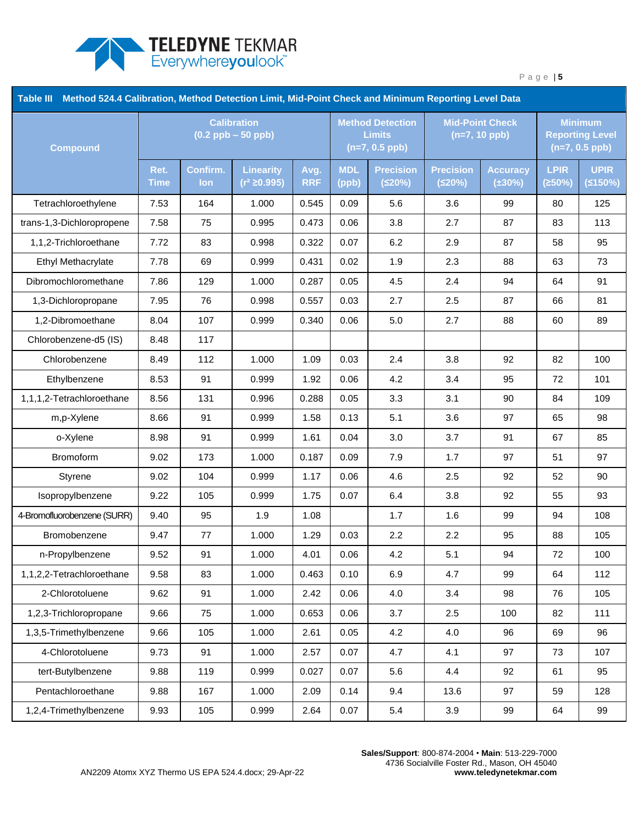

| Method 524.4 Calibration, Method Detection Limit, Mid-Point Check and Minimum Reporting Level Data<br><b>Table III</b> |                                             |                 |                                       |                    |                                                              |                            |                                           |                                 |                                                              |                        |
|------------------------------------------------------------------------------------------------------------------------|---------------------------------------------|-----------------|---------------------------------------|--------------------|--------------------------------------------------------------|----------------------------|-------------------------------------------|---------------------------------|--------------------------------------------------------------|------------------------|
| <b>Compound</b>                                                                                                        | <b>Calibration</b><br>$(0.2$ ppb $-50$ ppb) |                 |                                       |                    | <b>Method Detection</b><br><b>Limits</b><br>$(n=7, 0.5$ ppb) |                            | <b>Mid-Point Check</b><br>$(n=7, 10$ ppb) |                                 | <b>Minimum</b><br><b>Reporting Level</b><br>$(n=7, 0.5$ ppb) |                        |
|                                                                                                                        | Ret.<br><b>Time</b>                         | Confirm.<br>lon | <b>Linearity</b><br>$(r^2 \ge 0.995)$ | Avg.<br><b>RRF</b> | <b>MDL</b><br>(ppb)                                          | <b>Precision</b><br>(520%) | <b>Precision</b><br>(520%)                | <b>Accuracy</b><br>$(\pm 30\%)$ | <b>LPIR</b><br>(250%)                                        | <b>UPIR</b><br>(5150%) |
| Tetrachloroethylene                                                                                                    | 7.53                                        | 164             | 1.000                                 | 0.545              | 0.09                                                         | 5.6                        | 3.6                                       | 99                              | 80                                                           | 125                    |
| trans-1,3-Dichloropropene                                                                                              | 7.58                                        | 75              | 0.995                                 | 0.473              | 0.06                                                         | 3.8                        | 2.7                                       | 87                              | 83                                                           | 113                    |
| 1,1,2-Trichloroethane                                                                                                  | 7.72                                        | 83              | 0.998                                 | 0.322              | 0.07                                                         | 6.2                        | 2.9                                       | 87                              | 58                                                           | 95                     |
| Ethyl Methacrylate                                                                                                     | 7.78                                        | 69              | 0.999                                 | 0.431              | 0.02                                                         | 1.9                        | 2.3                                       | 88                              | 63                                                           | 73                     |
| Dibromochloromethane                                                                                                   | 7.86                                        | 129             | 1.000                                 | 0.287              | 0.05                                                         | 4.5                        | 2.4                                       | 94                              | 64                                                           | 91                     |
| 1,3-Dichloropropane                                                                                                    | 7.95                                        | 76              | 0.998                                 | 0.557              | 0.03                                                         | 2.7                        | 2.5                                       | 87                              | 66                                                           | 81                     |
| 1,2-Dibromoethane                                                                                                      | 8.04                                        | 107             | 0.999                                 | 0.340              | 0.06                                                         | 5.0                        | 2.7                                       | 88                              | 60                                                           | 89                     |
| Chlorobenzene-d5 (IS)                                                                                                  | 8.48                                        | 117             |                                       |                    |                                                              |                            |                                           |                                 |                                                              |                        |
| Chlorobenzene                                                                                                          | 8.49                                        | 112             | 1.000                                 | 1.09               | 0.03                                                         | 2.4                        | 3.8                                       | 92                              | 82                                                           | 100                    |
| Ethylbenzene                                                                                                           | 8.53                                        | 91              | 0.999                                 | 1.92               | 0.06                                                         | 4.2                        | 3.4                                       | 95                              | 72                                                           | 101                    |
| 1,1,1,2-Tetrachloroethane                                                                                              | 8.56                                        | 131             | 0.996                                 | 0.288              | 0.05                                                         | 3.3                        | 3.1                                       | 90                              | 84                                                           | 109                    |
| m,p-Xylene                                                                                                             | 8.66                                        | 91              | 0.999                                 | 1.58               | 0.13                                                         | 5.1                        | 3.6                                       | 97                              | 65                                                           | 98                     |
| o-Xylene                                                                                                               | 8.98                                        | 91              | 0.999                                 | 1.61               | 0.04                                                         | 3.0                        | 3.7                                       | 91                              | 67                                                           | 85                     |
| Bromoform                                                                                                              | 9.02                                        | 173             | 1.000                                 | 0.187              | 0.09                                                         | 7.9                        | 1.7                                       | 97                              | 51                                                           | 97                     |
| Styrene                                                                                                                | 9.02                                        | 104             | 0.999                                 | 1.17               | 0.06                                                         | 4.6                        | 2.5                                       | 92                              | 52                                                           | 90                     |
| Isopropylbenzene                                                                                                       | 9.22                                        | 105             | 0.999                                 | 1.75               | 0.07                                                         | 6.4                        | 3.8                                       | 92                              | 55                                                           | 93                     |
| 4-Bromofluorobenzene (SURR)                                                                                            | 9.40                                        | 95              | 1.9                                   | 1.08               |                                                              | 1.7                        | 1.6                                       | 99                              | 94                                                           | 108                    |
| Bromobenzene                                                                                                           | 9.47                                        | 77              | 1.000                                 | 1.29               | 0.03                                                         | 2.2                        | 2.2                                       | 95                              | 88                                                           | 105                    |
| n-Propylbenzene                                                                                                        | 9.52                                        | 91              | 1.000                                 | 4.01               | 0.06                                                         | 4.2                        | 5.1                                       | 94                              | 72                                                           | 100                    |
| 1,1,2,2-Tetrachloroethane                                                                                              | 9.58                                        | 83              | 1.000                                 | 0.463              | 0.10                                                         | 6.9                        | 4.7                                       | 99                              | 64                                                           | 112                    |
| 2-Chlorotoluene                                                                                                        | 9.62                                        | 91              | 1.000                                 | 2.42               | 0.06                                                         | 4.0                        | 3.4                                       | 98                              | 76                                                           | 105                    |
| 1,2,3-Trichloropropane                                                                                                 | 9.66                                        | 75              | 1.000                                 | 0.653              | 0.06                                                         | 3.7                        | 2.5                                       | 100                             | 82                                                           | 111                    |
| 1,3,5-Trimethylbenzene                                                                                                 | 9.66                                        | 105             | 1.000                                 | 2.61               | 0.05                                                         | 4.2                        | 4.0                                       | 96                              | 69                                                           | 96                     |
| 4-Chlorotoluene                                                                                                        | 9.73                                        | 91              | 1.000                                 | 2.57               | 0.07                                                         | 4.7                        | 4.1                                       | 97                              | 73                                                           | 107                    |
| tert-Butylbenzene                                                                                                      | 9.88                                        | 119             | 0.999                                 | 0.027              | 0.07                                                         | 5.6                        | 4.4                                       | 92                              | 61                                                           | 95                     |
| Pentachloroethane                                                                                                      | 9.88                                        | 167             | 1.000                                 | 2.09               | 0.14                                                         | 9.4                        | 13.6                                      | 97                              | 59                                                           | 128                    |
| 1,2,4-Trimethylbenzene                                                                                                 | 9.93                                        | 105             | 0.999                                 | 2.64               | 0.07                                                         | $5.4\,$                    | 3.9                                       | 99                              | 64                                                           | 99                     |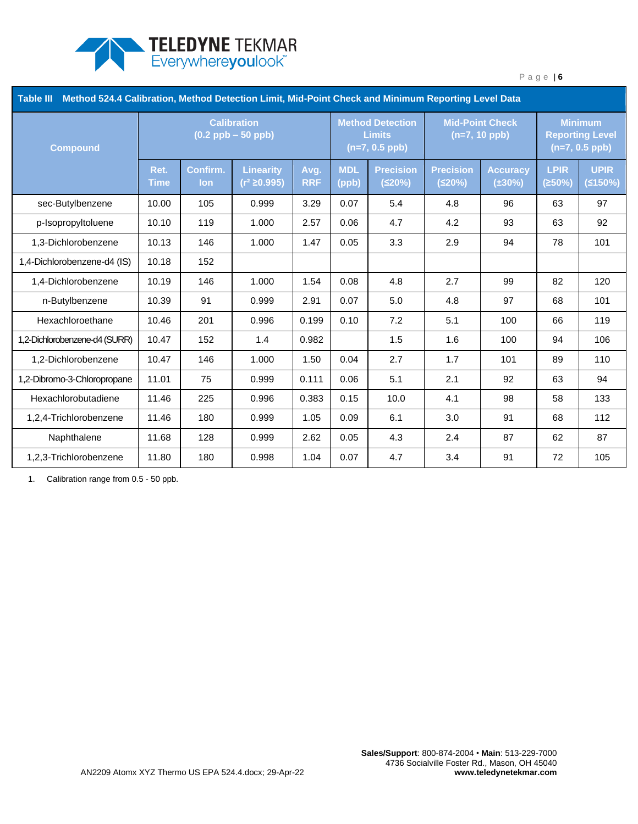

| <b>Table III</b><br>Method 524.4 Calibration, Method Detection Limit, Mid-Point Check and Minimum Reporting Level Data |                                             |                 |                                       |                    |                                                              |                            |                                           |                                 |                                                              |                        |
|------------------------------------------------------------------------------------------------------------------------|---------------------------------------------|-----------------|---------------------------------------|--------------------|--------------------------------------------------------------|----------------------------|-------------------------------------------|---------------------------------|--------------------------------------------------------------|------------------------|
| <b>Compound</b>                                                                                                        | <b>Calibration</b><br>$(0.2$ ppb $-50$ ppb) |                 |                                       |                    | <b>Method Detection</b><br><b>Limits</b><br>$(n=7, 0.5$ ppb) |                            | <b>Mid-Point Check</b><br>$(n=7, 10$ ppb) |                                 | <b>Minimum</b><br><b>Reporting Level</b><br>$(n=7, 0.5$ ppb) |                        |
|                                                                                                                        | Ret.<br><b>Time</b>                         | Confirm.<br>lon | <b>Linearity</b><br>$(r^2 \ge 0.995)$ | Avg.<br><b>RRF</b> | <b>MDL</b><br>(ppb)                                          | <b>Precision</b><br>(≤20%) | <b>Precision</b><br>(≤20%)                | <b>Accuracy</b><br>$(\pm 30\%)$ | <b>LPIR</b><br>(≥50%)                                        | <b>UPIR</b><br>(5150%) |
| sec-Butylbenzene                                                                                                       | 10.00                                       | 105             | 0.999                                 | 3.29               | 0.07                                                         | 5.4                        | 4.8                                       | 96                              | 63                                                           | 97                     |
| p-Isopropyltoluene                                                                                                     | 10.10                                       | 119             | 1.000                                 | 2.57               | 0.06                                                         | 4.7                        | 4.2                                       | 93                              | 63                                                           | 92                     |
| 1,3-Dichlorobenzene                                                                                                    | 10.13                                       | 146             | 1.000                                 | 1.47               | 0.05                                                         | 3.3                        | 2.9                                       | 94                              | 78                                                           | 101                    |
| 1,4-Dichlorobenzene-d4 (IS)                                                                                            | 10.18                                       | 152             |                                       |                    |                                                              |                            |                                           |                                 |                                                              |                        |
| 1,4-Dichlorobenzene                                                                                                    | 10.19                                       | 146             | 1.000                                 | 1.54               | 0.08                                                         | 4.8                        | 2.7                                       | 99                              | 82                                                           | 120                    |
| n-Butylbenzene                                                                                                         | 10.39                                       | 91              | 0.999                                 | 2.91               | 0.07                                                         | 5.0                        | 4.8                                       | 97                              | 68                                                           | 101                    |
| Hexachloroethane                                                                                                       | 10.46                                       | 201             | 0.996                                 | 0.199              | 0.10                                                         | 7.2                        | 5.1                                       | 100                             | 66                                                           | 119                    |
| 1,2-Dichlorobenzene-d4 (SURR)                                                                                          | 10.47                                       | 152             | 1.4                                   | 0.982              |                                                              | 1.5                        | 1.6                                       | 100                             | 94                                                           | 106                    |
| 1,2-Dichlorobenzene                                                                                                    | 10.47                                       | 146             | 1.000                                 | 1.50               | 0.04                                                         | 2.7                        | 1.7                                       | 101                             | 89                                                           | 110                    |
| 1,2-Dibromo-3-Chloropropane                                                                                            | 11.01                                       | 75              | 0.999                                 | 0.111              | 0.06                                                         | 5.1                        | 2.1                                       | 92                              | 63                                                           | 94                     |
| Hexachlorobutadiene                                                                                                    | 11.46                                       | 225             | 0.996                                 | 0.383              | 0.15                                                         | 10.0                       | 4.1                                       | 98                              | 58                                                           | 133                    |
| 1,2,4-Trichlorobenzene                                                                                                 | 11.46                                       | 180             | 0.999                                 | 1.05               | 0.09                                                         | 6.1                        | 3.0                                       | 91                              | 68                                                           | 112                    |
| Naphthalene                                                                                                            | 11.68                                       | 128             | 0.999                                 | 2.62               | 0.05                                                         | 4.3                        | 2.4                                       | 87                              | 62                                                           | 87                     |
| 1,2,3-Trichlorobenzene                                                                                                 | 11.80                                       | 180             | 0.998                                 | 1.04               | 0.07                                                         | 4.7                        | 3.4                                       | 91                              | 72                                                           | 105                    |

1. Calibration range from 0.5 - 50 ppb.